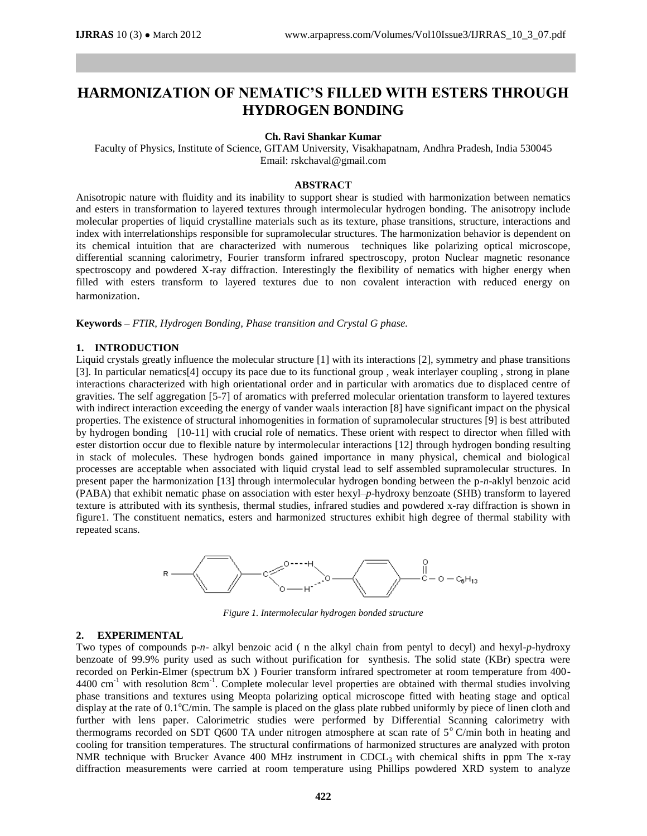# **HARMONIZATION OF NEMATIC'S FILLED WITH ESTERS THROUGH HYDROGEN BONDING**

#### **Ch. Ravi Shankar Kumar**

Faculty of Physics, Institute of Science, GITAM University, Visakhapatnam, Andhra Pradesh, India 530045 Email: rskchaval@gmail.com

### **ABSTRACT**

Anisotropic nature with fluidity and its inability to support shear is studied with harmonization between nematics and esters in transformation to layered textures through intermolecular hydrogen bonding. The anisotropy include molecular properties of liquid crystalline materials such as its texture, phase transitions, structure, interactions and index with interrelationships responsible for supramolecular structures. The harmonization behavior is dependent on its chemical intuition that are characterized with numerous techniques like polarizing optical microscope, differential scanning calorimetry, Fourier transform infrared spectroscopy, proton Nuclear magnetic resonance spectroscopy and powdered X-ray diffraction. Interestingly the flexibility of nematics with higher energy when filled with esters transform to layered textures due to non covalent interaction with reduced energy on harmonization.

**Keywords –** *FTIR, Hydrogen Bonding, Phase transition and Crystal G phase.*

### **1. INTRODUCTION**

Liquid crystals greatly influence the molecular structure [1] with its interactions [2], symmetry and phase transitions [3]. In particular nematics[4] occupy its pace due to its functional group , weak interlayer coupling , strong in plane interactions characterized with high orientational order and in particular with aromatics due to displaced centre of gravities. The self aggregation [5-7] of aromatics with preferred molecular orientation transform to layered textures with indirect interaction exceeding the energy of vander waals interaction [8] have significant impact on the physical properties. The existence of structural inhomogenities in formation of supramolecular structures [9] is best attributed by hydrogen bonding [10-11] with crucial role of nematics. These orient with respect to director when filled with ester distortion occur due to flexible nature by intermolecular interactions [12] through hydrogen bonding resulting in stack of molecules. These hydrogen bonds gained importance in many physical, chemical and biological processes are acceptable when associated with liquid crystal lead to self assembled supramolecular structures. In present paper the harmonization [13] through intermolecular hydrogen bonding between the p-*n*-aklyl benzoic acid (PABA) that exhibit nematic phase on association with ester hexyl–*p*-hydroxy benzoate (SHB) transform to layered texture is attributed with its synthesis, thermal studies, infrared studies and powdered x-ray diffraction is shown in figure1. The constituent nematics, esters and harmonized structures exhibit high degree of thermal stability with repeated scans.



*Figure 1. Intermolecular hydrogen bonded structure*

### **2. EXPERIMENTAL**

Two types of compounds p-*n*- alkyl benzoic acid ( n the alkyl chain from pentyl to decyl) and hexyl-*p*-hydroxy benzoate of 99.9% purity used as such without purification for synthesis. The solid state (KBr) spectra were recorded on Perkin-Elmer (spectrum bX ) Fourier transform infrared spectrometer at room temperature from 400-  $4400 \text{ cm}^{-1}$  with resolution 8cm<sup>-1</sup>. Complete molecular level properties are obtained with thermal studies involving phase transitions and textures using Meopta polarizing optical microscope fitted with heating stage and optical display at the rate of 0.1°C/min. The sample is placed on the glass plate rubbed uniformly by piece of linen cloth and further with lens paper. Calorimetric studies were performed by Differential Scanning calorimetry with thermograms recorded on SDT Q600 TA under nitrogen atmosphere at scan rate of  $5^{\circ}$  C/min both in heating and cooling for transition temperatures. The structural confirmations of harmonized structures are analyzed with proton NMR technique with Brucker Avance 400 MHz instrument in CDCL<sub>3</sub> with chemical shifts in ppm The x-ray diffraction measurements were carried at room temperature using Phillips powdered XRD system to analyze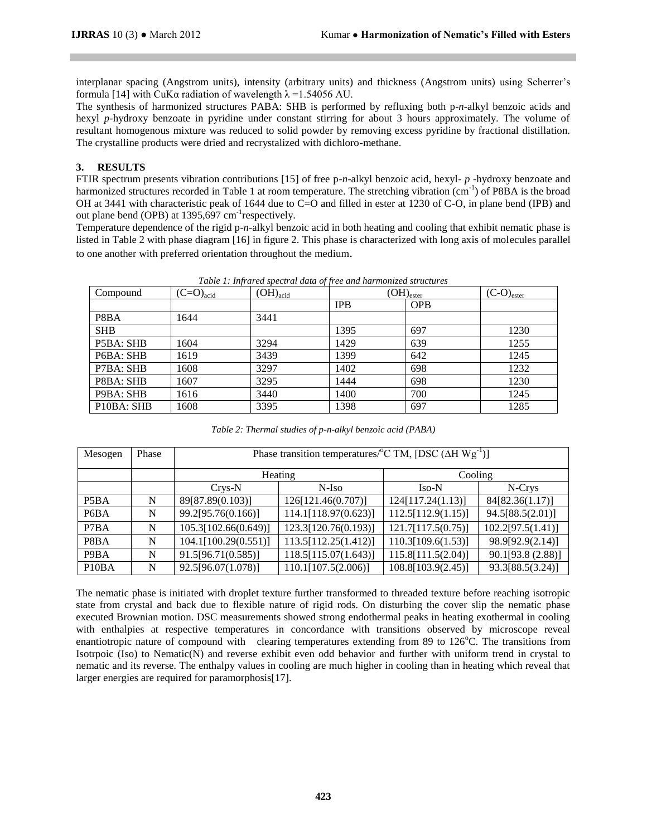interplanar spacing (Angstrom units), intensity (arbitrary units) and thickness (Angstrom units) using Scherrer's formula [14] with CuKα radiation of wavelength λ =1.54056 AU.

The synthesis of harmonized structures PABA: SHB is performed by refluxing both p-*n*-alkyl benzoic acids and hexyl *p*-hydroxy benzoate in pyridine under constant stirring for about 3 hours approximately. The volume of resultant homogenous mixture was reduced to solid powder by removing excess pyridine by fractional distillation. The crystalline products were dried and recrystalized with dichloro-methane.

## **3. RESULTS**

FTIR spectrum presents vibration contributions [15] of free p*-n*-alkyl benzoic acid, hexyl*- p -*hydroxy benzoate and harmonized structures recorded in Table 1 at room temperature. The stretching vibration (cm<sup>-1</sup>) of P8BA is the broad OH at 3441 with characteristic peak of 1644 due to C=O and filled in ester at 1230 of C-O, in plane bend (IPB) and out plane bend (OPB) at 1395,697 cm<sup>-1</sup>respectively.

Temperature dependence of the rigid p-*n*-alkyl benzoic acid in both heating and cooling that exhibit nematic phase is listed in Table 2 with phase diagram [16] in figure 2. This phase is characterized with long axis of molecules parallel to one another with preferred orientation throughout the medium.

| Compound                                         | $(C=O)_{\text{acid}}$ | $(OH)_{acid}$ | Tuble 1. Infrarea speciful auna of free una nurmonizea siriciares<br>$(OH)_{\text{ester}}$ |            | $(C-O)_{\text{ester}}$ |
|--------------------------------------------------|-----------------------|---------------|--------------------------------------------------------------------------------------------|------------|------------------------|
|                                                  |                       |               | <b>IPB</b>                                                                                 | <b>OPB</b> |                        |
| P8BA                                             | 1644                  | 3441          |                                                                                            |            |                        |
| <b>SHB</b>                                       |                       |               | 1395                                                                                       | 697        | 1230                   |
| P5BA: SHB                                        | 1604                  | 3294          | 1429                                                                                       | 639        | 1255                   |
| P6BA: SHB                                        | 1619                  | 3439          | 1399                                                                                       | 642        | 1245                   |
| P7BA: SHB                                        | 1608                  | 3297          | 1402                                                                                       | 698        | 1232                   |
| P8BA: SHB                                        | 1607                  | 3295          | 1444                                                                                       | 698        | 1230                   |
| P9BA: SHB                                        | 1616                  | 3440          | 1400                                                                                       | 700        | 1245                   |
| P <sub>10</sub> B <sub>A</sub> : SH <sub>B</sub> | 1608                  | 3395          | 1398                                                                                       | 697        | 1285                   |

*Table 1: Infrared spectral data of free and harmonized structures*

| Mesogen                       | Phase | Phase transition temperatures/ ${}^{\circ}$ C TM, [DSC ( $\Delta$ H Wg <sup>-1</sup> )] |                      |                    |                   |  |  |
|-------------------------------|-------|-----------------------------------------------------------------------------------------|----------------------|--------------------|-------------------|--|--|
|                               |       |                                                                                         | Heating              | Cooling            |                   |  |  |
|                               |       | N-Iso<br>$Crys-N$                                                                       |                      | $Iso-N$            | N-Crys            |  |  |
| P <sub>5</sub> B <sub>A</sub> | N     | 89[87.89(0.103)]                                                                        | 126[121.46(0.707)]   | 124[117.24(1.13)]  | 84[82.36(1.17)]   |  |  |
| P <sub>6</sub> B <sub>A</sub> | N     | 99.2[95.76(0.166)]                                                                      | 114.1[118.97(0.623)] | 112.5[112.9(1.15)] | 94.5[88.5(2.01)]  |  |  |
| P7BA                          | N     | 105.3[102.66(0.649)]                                                                    | 123.3[120.76(0.193)] | 121.7[117.5(0.75)] | 102.2[97.5(1.41)] |  |  |
| P8BA                          | N     | 104.1[100.29(0.551)]                                                                    | 113.5[112.25(1.412)] | 110.3[109.6(1.53)] | 98.9[92.9(2.14)]  |  |  |
| P <sub>9</sub> B <sub>A</sub> | N     | 91.5[96.71(0.585)]                                                                      | 118.5[115.07(1.643)] | 115.8[111.5(2.04)] | 90.1[93.8(2.88)]  |  |  |
| P <sub>10</sub> BA            | N     | 92.5[96.07(1.078)]                                                                      | 110.1[107.5(2.006)]  | 108.8[103.9(2.45)] | 93.3[88.5(3.24)]  |  |  |

The nematic phase is initiated with droplet texture further transformed to threaded texture before reaching isotropic state from crystal and back due to flexible nature of rigid rods. On disturbing the cover slip the nematic phase executed Brownian motion. DSC measurements showed strong endothermal peaks in heating exothermal in cooling with enthalpies at respective temperatures in concordance with transitions observed by microscope reveal enantiotropic nature of compound with clearing temperatures extending from 89 to  $126^{\circ}$ C. The transitions from Isotrpoic (Iso) to Nematic(N) and reverse exhibit even odd behavior and further with uniform trend in crystal to nematic and its reverse. The enthalpy values in cooling are much higher in cooling than in heating which reveal that larger energies are required for paramorphosis[17].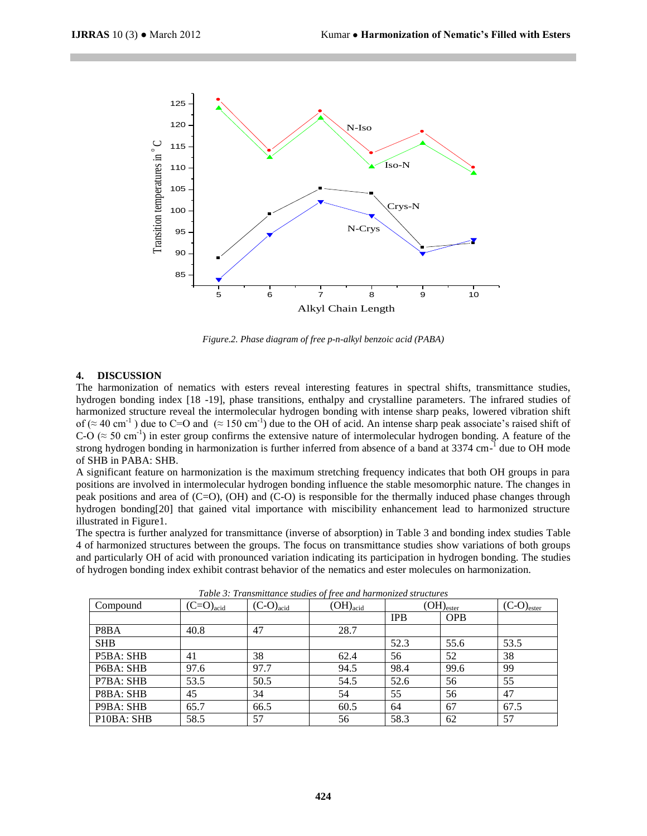

*Figure.2. Phase diagram of free p-n-alkyl benzoic acid (PABA)*

#### **4. DISCUSSION**

The harmonization of nematics with esters reveal interesting features in spectral shifts, transmittance studies, hydrogen bonding index [18 -19], phase transitions, enthalpy and crystalline parameters. The infrared studies of harmonized structure reveal the intermolecular hydrogen bonding with intense sharp peaks, lowered vibration shift of ( $\approx$  40 cm<sup>-1</sup>) due to C=O and ( $\approx$  150 cm<sup>-1</sup>) due to the OH of acid. An intense sharp peak associate's raised shift of C-O ( $\approx$  50 cm<sup>-1</sup>) in ester group confirms the extensive nature of intermolecular hydrogen bonding. A feature of the strong hydrogen bonding in harmonization is further inferred from absence of a band at 3374 cm<sup>-1</sup> due to OH mode of SHB in PABA: SHB.

A significant feature on harmonization is the maximum stretching frequency indicates that both OH groups in para positions are involved in intermolecular hydrogen bonding influence the stable mesomorphic nature. The changes in peak positions and area of (C=O), (OH) and (C-O) is responsible for the thermally induced phase changes through hydrogen bonding[20] that gained vital importance with miscibility enhancement lead to harmonized structure illustrated in Figure1.

The spectra is further analyzed for transmittance (inverse of absorption) in Table 3 and bonding index studies Table 4 of harmonized structures between the groups. The focus on transmittance studies show variations of both groups and particularly OH of acid with pronounced variation indicating its participation in hydrogen bonding. The studies of hydrogen bonding index exhibit contrast behavior of the nematics and ester molecules on harmonization.

| Compound                                         | $(C=O)_{\text{acid}}$ | $(C-O)_{acid}$ | Tuble 5. Transmittance station of free and narmonized structures<br>$(OH)_{acid}$ | $(OH)_{\text{ester}}$ |            | $(C-O)_{\text{ester}}$ |
|--------------------------------------------------|-----------------------|----------------|-----------------------------------------------------------------------------------|-----------------------|------------|------------------------|
|                                                  |                       |                |                                                                                   | <b>IPB</b>            | <b>OPB</b> |                        |
| P8BA                                             | 40.8                  | 47             | 28.7                                                                              |                       |            |                        |
| <b>SHB</b>                                       |                       |                |                                                                                   | 52.3                  | 55.6       | 53.5                   |
| P5BA: SHB                                        | 41                    | 38             | 62.4                                                                              | 56                    | 52         | 38                     |
| P6BA: SHB                                        | 97.6                  | 97.7           | 94.5                                                                              | 98.4                  | 99.6       | 99                     |
| P7BA: SHB                                        | 53.5                  | 50.5           | 54.5                                                                              | 52.6                  | 56         | 55                     |
| P8BA: SHB                                        | 45                    | 34             | 54                                                                                | 55                    | 56         | 47                     |
| P9BA: SHB                                        | 65.7                  | 66.5           | 60.5                                                                              | 64                    | 67         | 67.5                   |
| P <sub>10</sub> B <sub>A</sub> : SH <sub>B</sub> | 58.5                  | 57             | 56                                                                                | 58.3                  | 62         | 57                     |

*Table 3: Transmittance studies of free and harmonized structures*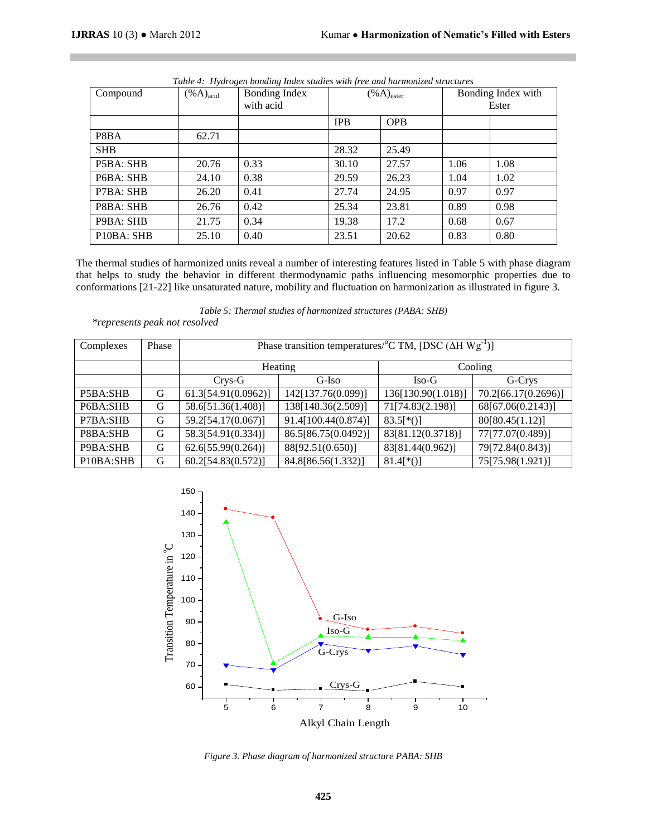| Compound                                         | $(\% A)_{\text{acid}}$ | Bonding Index | $(\% A)_{\text{ester}}$ |            | Bonding Index with |      |
|--------------------------------------------------|------------------------|---------------|-------------------------|------------|--------------------|------|
|                                                  |                        | with acid     |                         |            | Ester              |      |
|                                                  |                        |               | <b>IPB</b>              | <b>OPB</b> |                    |      |
| P8BA                                             | 62.71                  |               |                         |            |                    |      |
| <b>SHB</b>                                       |                        |               | 28.32                   | 25.49      |                    |      |
| P5BA: SHB                                        | 20.76                  | 0.33          | 30.10                   | 27.57      | 1.06               | 1.08 |
| P6BA: SHB                                        | 24.10                  | 0.38          | 29.59                   | 26.23      | 1.04               | 1.02 |
| P7BA: SHB                                        | 26.20                  | 0.41          | 27.74                   | 24.95      | 0.97               | 0.97 |
| P8BA: SHB                                        | 26.76                  | 0.42          | 25.34                   | 23.81      | 0.89               | 0.98 |
| P9BA: SHB                                        | 21.75                  | 0.34          | 19.38                   | 17.2       | 0.68               | 0.67 |
| P <sub>10</sub> B <sub>A</sub> : SH <sub>B</sub> | 25.10                  | 0.40          | 23.51                   | 20.62      | 0.83               | 0.80 |

*Table 4: Hydrogen bonding Index studies with free and harmonized structures*

The thermal studies of harmonized units reveal a number of interesting features listed in Table 5 with phase diagram that helps to study the behavior in different thermodynamic paths influencing mesomorphic properties due to conformations [21-22] like unsaturated nature, mobility and fluctuation on harmonization as illustrated in figure 3.

*Table 5: Thermal studies of harmonized structures (PABA: SHB) \*represents peak not resolved*

| Complexes                          | Phase | Phase transition temperatures/ ${}^{\circ}$ C TM, [DSC ( $\Delta$ H Wg <sup>-1</sup> )] |                     |                    |                     |  |  |
|------------------------------------|-------|-----------------------------------------------------------------------------------------|---------------------|--------------------|---------------------|--|--|
|                                    |       |                                                                                         | Heating             | Cooling            |                     |  |  |
|                                    |       | G-Iso<br>$Crys-G$                                                                       |                     | $Iso-G$            | G-Crys              |  |  |
| P5BA:SHB                           | G     | 61.3[54.91(0.0962)]                                                                     | 142[137.76(0.099)]  | 136[130.90(1.018)] | 70.2[66.17(0.2696)] |  |  |
| P6BA:SHB                           | G     | 58.6[51.36(1.408)]                                                                      | 138[148.36(2.509)]  | 71[74.83(2.198)]   | 68[67.06(0.2143)]   |  |  |
| P7BA:SHB                           | G     | 59.2[54.17(0.067)]                                                                      | 91.4[100.44(0.874)] | $83.5[*()]$        | 80[80.45(1.12)]     |  |  |
| P8BA:SHB                           | G     | 58.3[54.91(0.334)]                                                                      | 86.5[86.75(0.0492)] | 83[81.12(0.3718)]  | 77[77.07(0.489)]    |  |  |
| P9BA:SHB                           | G     | 62.6[55.99(0.264)]                                                                      | 88[92.51(0.650)]    | 83[81.44(0.962)]   | 79[72.84(0.843)]    |  |  |
| P <sub>10</sub> BA:SH <sub>B</sub> | G     | 60.2[54.83(0.572)]                                                                      | 84.8[86.56(1.332)]  | $81.4$ [*()]       | 75[75.98(1.921)]    |  |  |



*Figure 3. Phase diagram of harmonized structure PABA: SHB*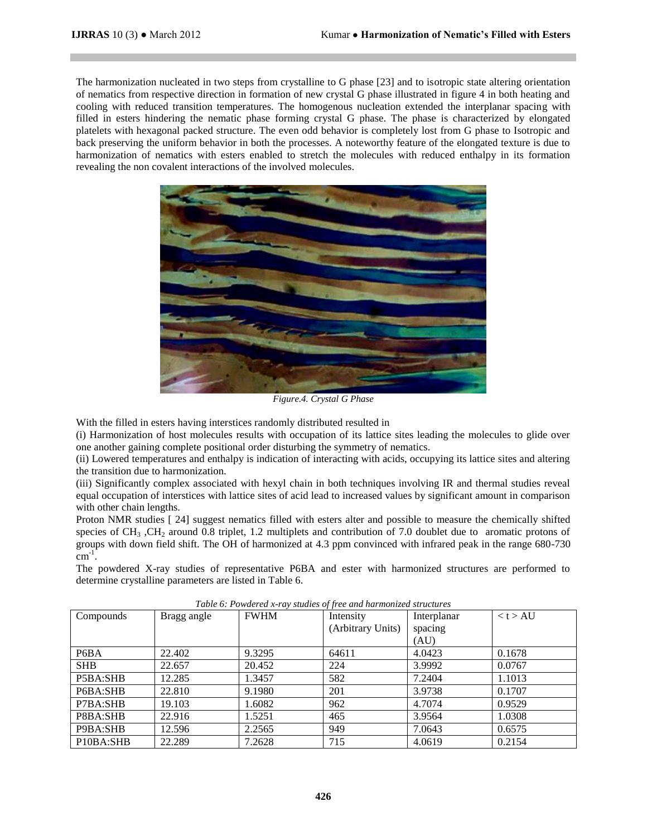The harmonization nucleated in two steps from crystalline to G phase [23] and to isotropic state altering orientation of nematics from respective direction in formation of new crystal G phase illustrated in figure 4 in both heating and cooling with reduced transition temperatures. The homogenous nucleation extended the interplanar spacing with filled in esters hindering the nematic phase forming crystal G phase. The phase is characterized by elongated platelets with hexagonal packed structure. The even odd behavior is completely lost from G phase to Isotropic and back preserving the uniform behavior in both the processes. A noteworthy feature of the elongated texture is due to harmonization of nematics with esters enabled to stretch the molecules with reduced enthalpy in its formation revealing the non covalent interactions of the involved molecules.



*Figure.4. Crystal G Phase*

With the filled in esters having interstices randomly distributed resulted in

(i) Harmonization of host molecules results with occupation of its lattice sites leading the molecules to glide over one another gaining complete positional order disturbing the symmetry of nematics.

(ii) Lowered temperatures and enthalpy is indication of interacting with acids, occupying its lattice sites and altering the transition due to harmonization.

(iii) Significantly complex associated with hexyl chain in both techniques involving IR and thermal studies reveal equal occupation of interstices with lattice sites of acid lead to increased values by significant amount in comparison with other chain lengths.

Proton NMR studies [ 24] suggest nematics filled with esters alter and possible to measure the chemically shifted species of  $CH_3$ ,  $CH_2$  around 0.8 triplet, 1.2 multiplets and contribution of 7.0 doublet due to aromatic protons of groups with down field shift. The OH of harmonized at 4.3 ppm convinced with infrared peak in the range 680-730  $\text{cm}^{-1}$ .

The powdered X-ray studies of representative P6BA and ester with harmonized structures are performed to determine crystalline parameters are listed in Table 6.

| $\sim$ and the state of the contract of the contract the internet of the contract $\sim$ |             |             |                   |             |          |  |  |
|------------------------------------------------------------------------------------------|-------------|-------------|-------------------|-------------|----------|--|--|
| Compounds                                                                                | Bragg angle | <b>FWHM</b> | Intensity         | Interplanar | < t > AU |  |  |
|                                                                                          |             |             | (Arbitrary Units) | spacing     |          |  |  |
|                                                                                          |             |             |                   | (AU)        |          |  |  |
| P <sub>6</sub> B <sub>A</sub>                                                            | 22.402      | 9.3295      | 64611             | 4.0423      | 0.1678   |  |  |
| <b>SHB</b>                                                                               | 22.657      | 20.452      | 224               | 3.9992      | 0.0767   |  |  |
| P5BA:SHB                                                                                 | 12.285      | 1.3457      | 582               | 7.2404      | 1.1013   |  |  |
| P6BA:SHB                                                                                 | 22.810      | 9.1980      | 201               | 3.9738      | 0.1707   |  |  |
| P7BA:SHB                                                                                 | 19.103      | 1.6082      | 962               | 4.7074      | 0.9529   |  |  |
| P8BA:SHB                                                                                 | 22.916      | 1.5251      | 465               | 3.9564      | 1.0308   |  |  |
| P9BA:SHB                                                                                 | 12.596      | 2.2565      | 949               | 7.0643      | 0.6575   |  |  |
| P10BA:SHB                                                                                | 22.289      | 7.2628      | 715               | 4.0619      | 0.2154   |  |  |

*Table 6: Powdered x-ray studies of free and harmonized structures*